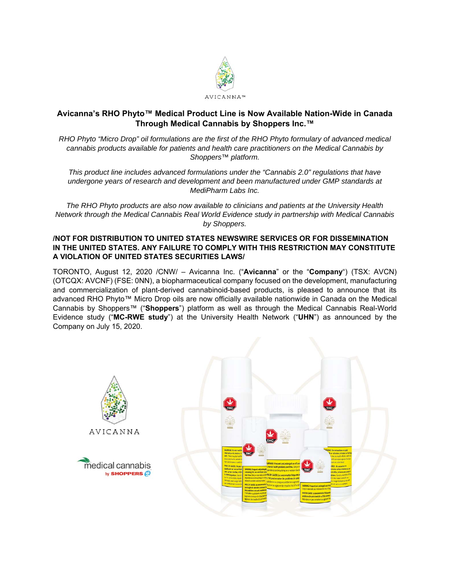

# **Avicanna's RHO Phyto™ Medical Product Line is Now Available Nation-Wide in Canada Through Medical Cannabis by Shoppers Inc.™**

*RHO Phyto "Micro Drop" oil formulations are the first of the RHO Phyto formulary of advanced medical cannabis products available for patients and health care practitioners on the Medical Cannabis by Shoppers™ platform.* 

*This product line includes advanced formulations under the "Cannabis 2.0" regulations that have undergone years of research and development and been manufactured under GMP standards at MediPharm Labs Inc.* 

*The RHO Phyto products are also now available to clinicians and patients at the University Health Network through the Medical Cannabis Real World Evidence study in partnership with Medical Cannabis by Shoppers.* 

## **/NOT FOR DISTRIBUTION TO UNITED STATES NEWSWIRE SERVICES OR FOR DISSEMINATION IN THE UNITED STATES. ANY FAILURE TO COMPLY WITH THIS RESTRICTION MAY CONSTITUTE A VIOLATION OF UNITED STATES SECURITIES LAWS/**

TORONTO, August 12, 2020 /CNW/ – Avicanna Inc. ("**Avicanna**" or the "**Company**") (TSX: AVCN) (OTCQX: AVCNF) (FSE: 0NN), a biopharmaceutical company focused on the development, manufacturing and commercialization of plant-derived cannabinoid-based products, is pleased to announce that its advanced RHO Phyto™ Micro Drop oils are now officially available nationwide in Canada on the Medical Cannabis by Shoppers™ ("**Shoppers**") platform as well as through the Medical Cannabis Real-World Evidence study ("**MC-RWE study**") at the University Health Network ("**UHN**") as announced by the Company on July 15, 2020.

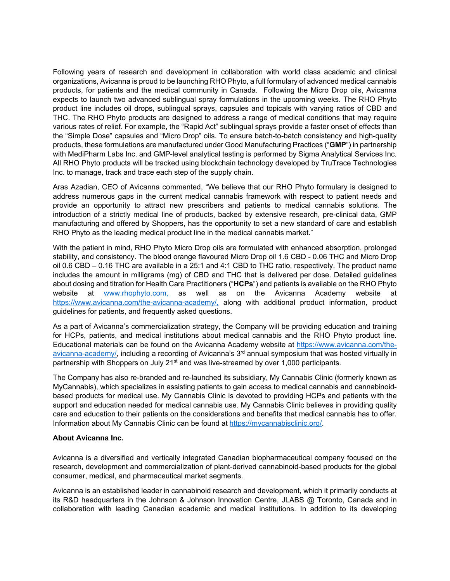Following years of research and development in collaboration with world class academic and clinical organizations, Avicanna is proud to be launching RHO Phyto, a full formulary of advanced medical cannabis products, for patients and the medical community in Canada. Following the Micro Drop oils, Avicanna expects to launch two advanced sublingual spray formulations in the upcoming weeks. The RHO Phyto product line includes oil drops, sublingual sprays, capsules and topicals with varying ratios of CBD and THC. The RHO Phyto products are designed to address a range of medical conditions that may require various rates of relief. For example, the "Rapid Act" sublingual sprays provide a faster onset of effects than the "Simple Dose" capsules and "Micro Drop" oils. To ensure batch-to-batch consistency and high-quality products, these formulations are manufactured under Good Manufacturing Practices ("**GMP**") in partnership with MediPharm Labs Inc. and GMP-level analytical testing is performed by Sigma Analytical Services Inc. All RHO Phyto products will be tracked using blockchain technology developed by TruTrace Technologies Inc. to manage, track and trace each step of the supply chain.

Aras Azadian, CEO of Avicanna commented, "We believe that our RHO Phyto formulary is designed to address numerous gaps in the current medical cannabis framework with respect to patient needs and provide an opportunity to attract new prescribers and patients to medical cannabis solutions. The introduction of a strictly medical line of products, backed by extensive research, pre-clinical data, GMP manufacturing and offered by Shoppers, has the opportunity to set a new standard of care and establish RHO Phyto as the leading medical product line in the medical cannabis market."

With the patient in mind, RHO Phyto Micro Drop oils are formulated with enhanced absorption, prolonged stability, and consistency. The blood orange flavoured Micro Drop oil 1.6 CBD - 0.06 THC and Micro Drop oil 0.6 CBD – 0.16 THC are available in a 25:1 and 4:1 CBD to THC ratio, respectively. The product name includes the amount in milligrams (mg) of CBD and THC that is delivered per dose. Detailed guidelines about dosing and titration for Health Care Practitioners ("**HCPs**") and patients is available on the RHO Phyto website at www.rhophyto.com, as well as on the Avicanna Academy website at https://www.avicanna.com/the-avicanna-academy/, along with additional product information, product guidelines for patients, and frequently asked questions.

As a part of Avicanna's commercialization strategy, the Company will be providing education and training for HCPs, patients, and medical institutions about medical cannabis and the RHO Phyto product line. Educational materials can be found on the Avicanna Academy website at https://www.avicanna.com/theavicanna-academy, including a recording of Avicanna's  $3<sup>rd</sup>$  annual symposium that was hosted virtually in partnership with Shoppers on July 21<sup>st</sup> and was live-streamed by over 1,000 participants.

The Company has also re-branded and re-launched its subsidiary, My Cannabis Clinic (formerly known as MyCannabis), which specializes in assisting patients to gain access to medical cannabis and cannabinoidbased products for medical use. My Cannabis Clinic is devoted to providing HCPs and patients with the support and education needed for medical cannabis use. My Cannabis Clinic believes in providing quality care and education to their patients on the considerations and benefits that medical cannabis has to offer. Information about My Cannabis Clinic can be found at https://mycannabisclinic.org/.

#### **About Avicanna Inc.**

Avicanna is a diversified and vertically integrated Canadian biopharmaceutical company focused on the research, development and commercialization of plant-derived cannabinoid-based products for the global consumer, medical, and pharmaceutical market segments.

Avicanna is an established leader in cannabinoid research and development, which it primarily conducts at its R&D headquarters in the Johnson & Johnson Innovation Centre, JLABS @ Toronto, Canada and in collaboration with leading Canadian academic and medical institutions. In addition to its developing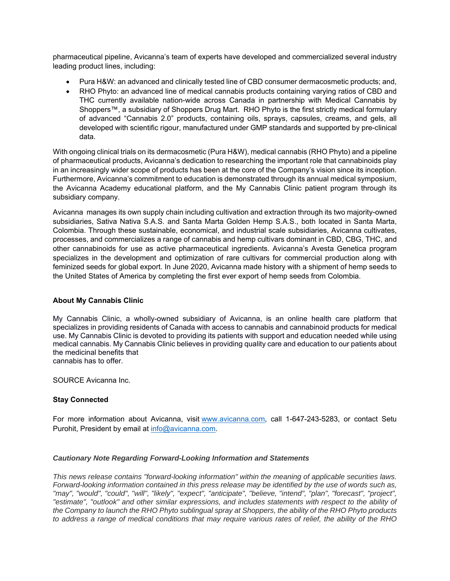pharmaceutical pipeline, Avicanna's team of experts have developed and commercialized several industry leading product lines, including:

- Pura H&W: an advanced and clinically tested line of CBD consumer dermacosmetic products; and,
- RHO Phyto: an advanced line of medical cannabis products containing varying ratios of CBD and THC currently available nation-wide across Canada in partnership with Medical Cannabis by Shoppers™, a subsidiary of Shoppers Drug Mart. RHO Phyto is the first strictly medical formulary of advanced "Cannabis 2.0" products, containing oils, sprays, capsules, creams, and gels, all developed with scientific rigour, manufactured under GMP standards and supported by pre-clinical data.

With ongoing clinical trials on its dermacosmetic (Pura H&W), medical cannabis (RHO Phyto) and a pipeline of pharmaceutical products, Avicanna's dedication to researching the important role that cannabinoids play in an increasingly wider scope of products has been at the core of the Company's vision since its inception. Furthermore, Avicanna's commitment to education is demonstrated through its annual medical symposium, the Avicanna Academy educational platform, and the My Cannabis Clinic patient program through its subsidiary company.

Avicanna manages its own supply chain including cultivation and extraction through its two majority-owned subsidiaries, Sativa Nativa S.A.S. and Santa Marta Golden Hemp S.A.S., both located in Santa Marta, Colombia. Through these sustainable, economical, and industrial scale subsidiaries, Avicanna cultivates, processes, and commercializes a range of cannabis and hemp cultivars dominant in CBD, CBG, THC, and other cannabinoids for use as active pharmaceutical ingredients. Avicanna's Avesta Genetica program specializes in the development and optimization of rare cultivars for commercial production along with feminized seeds for global export. In June 2020, Avicanna made history with a shipment of hemp seeds to the United States of America by completing the first ever export of hemp seeds from Colombia.

### **About My Cannabis Clinic**

My Cannabis Clinic, a wholly-owned subsidiary of Avicanna, is an online health care platform that specializes in providing residents of Canada with access to cannabis and cannabinoid products for medical use. My Cannabis Clinic is devoted to providing its patients with support and education needed while using medical cannabis. My Cannabis Clinic believes in providing quality care and education to our patients about the medicinal benefits that cannabis has to offer.

SOURCE Avicanna Inc.

### **Stay Connected**

For more information about Avicanna, visit www.avicanna.com, call 1-647-243-5283, or contact Setu Purohit, President by email at info@avicanna.com.

### *Cautionary Note Regarding Forward-Looking Information and Statements*

*This news release contains "forward-looking information" within the meaning of applicable securities laws. Forward-looking information contained in this press release may be identified by the use of words such as, "may", "would", "could", "will", "likely", "expect", "anticipate", "believe, "intend", "plan", "forecast", "project", "estimate", "outlook" and other similar expressions, and includes statements with respect to the ability of the Company to launch the RHO Phyto sublingual spray at Shoppers, the ability of the RHO Phyto products to address a range of medical conditions that may require various rates of relief, the ability of the RHO*